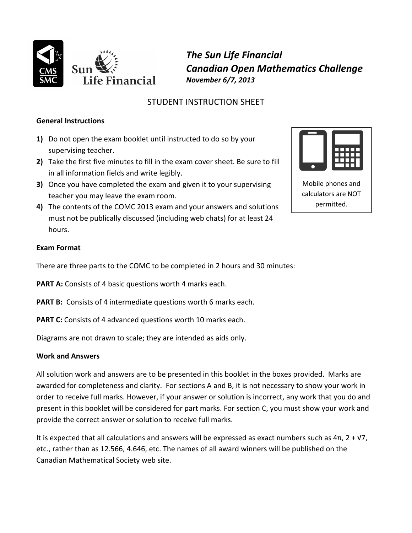

*The Sun Life Financial Canadian Open Mathematics Challenge November 6/7, 2013*

## STUDENT INSTRUCTION SHEET

## **General Instructions**

- **1)** Do not open the exam booklet until instructed to do so by your supervising teacher.
- **2)** Take the first five minutes to fill in the exam cover sheet. Be sure to fill in all information fields and write legibly.
- **3)** Once you have completed the exam and given it to your supervising teacher you may leave the exam room.
- **4)** The contents of the COMC 2013 exam and your answers and solutions must not be publically discussed (including web chats) for at least 24 hours.



Mobile phones and calculators are NOT permitted.

## **Exam Format**

There are three parts to the COMC to be completed in 2 hours and 30 minutes:

**PART A:** Consists of 4 basic questions worth 4 marks each.

- **PART B:** Consists of 4 intermediate questions worth 6 marks each.
- **PART C:** Consists of 4 advanced questions worth 10 marks each.

Diagrams are not drawn to scale; they are intended as aids only.

## **Work and Answers**

All solution work and answers are to be presented in this booklet in the boxes provided. Marks are awarded for completeness and clarity. For sections A and B, it is not necessary to show your work in order to receive full marks. However, if your answer or solution is incorrect, any work that you do and present in this booklet will be considered for part marks. For section C, you must show your work and provide the correct answer or solution to receive full marks.

It is expected that all calculations and answers will be expressed as exact numbers such as  $4\pi$ ,  $2 + \sqrt{7}$ , etc., rather than as 12.566, 4.646, etc. The names of all award winners will be published on the Canadian Mathematical Society web site.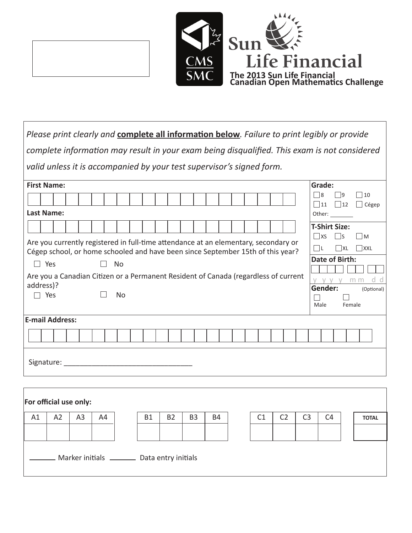



| Please print clearly and <b>complete all information below</b> . Failure to print legibly or provide                                                                   |                                                                                             |
|------------------------------------------------------------------------------------------------------------------------------------------------------------------------|---------------------------------------------------------------------------------------------|
| complete information may result in your exam being disqualified. This exam is not considered                                                                           |                                                                                             |
| valid unless it is accompanied by your test supervisor's signed form.                                                                                                  |                                                                                             |
| <b>First Name:</b>                                                                                                                                                     | Grade:                                                                                      |
|                                                                                                                                                                        | ∃8<br>$\Box$ 10<br> 9                                                                       |
| <b>Last Name:</b>                                                                                                                                                      | 11    12<br>$\Box$ Cégep<br>Other: $\_\_$                                                   |
| Are you currently registered in full-time attendance at an elementary, secondary or<br>Cégep school, or home schooled and have been since September 15th of this year? | <b>T-Shirt Size:</b><br>$\Box$ XS<br>-ls<br>$\blacksquare$<br>Πι<br>$\Box$ XXL<br><b>XL</b> |
| <b>No</b><br>$\Box$ Yes                                                                                                                                                | Date of Birth:                                                                              |
| Are you a Canadian Citizen or a Permanent Resident of Canada (regardless of current<br>address)?                                                                       | V V V<br>m m                                                                                |
| Yes<br>No                                                                                                                                                              | Gender:<br>(Optional)<br>Male<br>Female                                                     |
| E-mail Address:                                                                                                                                                        |                                                                                             |
|                                                                                                                                                                        |                                                                                             |
| Signature: _______                                                                                                                                                     |                                                                                             |
|                                                                                                                                                                        |                                                                                             |
| For official use only:                                                                                                                                                 |                                                                                             |
| A2<br>A <sub>3</sub><br>A1<br><b>B1</b><br><b>B2</b><br>B <sub>3</sub><br><b>B4</b><br>A4                                                                              | C1<br>C <sub>2</sub><br>C <sub>3</sub><br>C <sub>4</sub><br><b>TOTAL</b>                    |

Marker initials \_\_\_\_\_\_\_\_ Data entry initials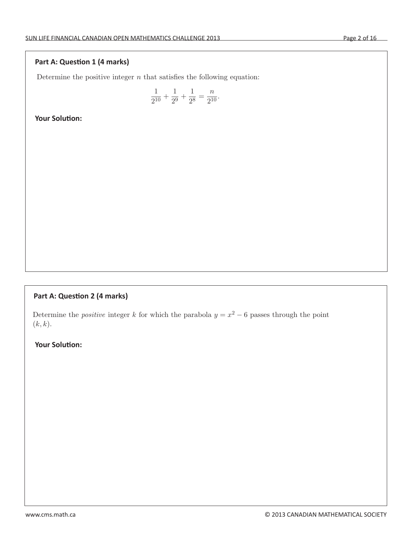#### **Part A: Question 1 (4 marks)**

Determine the positive integer  $n$  that satisfies the following equation:

$$
\frac{1}{2^{10}} + \frac{1}{2^9} + \frac{1}{2^8} = \frac{n}{2^{10}}.
$$

 $A$  In the figure below, the figure below, the circles have radii 1,  $\alpha$  ,  $\alpha$  and  $\alpha$ 

 $A_{\rm eff}$  and to be bi-digital if it uses two different different digital if it uses two different digital if  $\mu$ 

A1 Determine the positive integer n that satisfies the following equation:

|<br>|<br>|

**La Determine the point of the point of the point of the point of the parabola y = x2 − 6 passes the point of the point of the point of the point of the point of the point of the point of the point of the point of the poi** 

## **Part A: Question 2 (4 marks)**

Determine the *positive* integer k for which the parabola  $y = x^2 - 6$  passes through the point  $(k, k).$ 

 $A_{\rm eff}$  and to be bi-digital if it uses two different different digital if it uses two different digital if  $\mu$ 

|<br>|<br>| <sup>2</sup><sup>8</sup> <sup>=</sup> <sup>n</sup>

|<br>|<br>|

**Your Solution:**   $\frac{1}{2}$  in the figure below, the circles have radii 1, 2, 3, 4, and 5. The total area that is contained by  $\frac{1}{2}$ inside an odd number of these circles is mathematically number of mathematical positive number of m. What is the value of m. What is the value of m. What is the value of m. What is the value of m. What is the value of m. W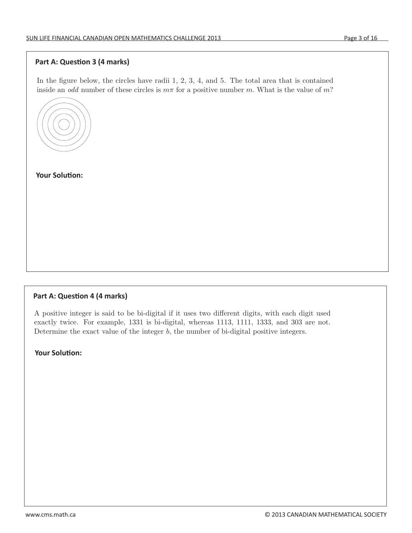### Part A: Question 3 (4 marks)<br>
and pointeger k for which the pointeger k for which the pointeger k for which the point point of point **Parabola y = x2** + 6 passes the point of point **Parabola y = x2 + 6 passes the point of**  $\overline{\phantom{a}}$ ait $\overline{\phantom{a}}$

In the figure below, the circles have radii  $1, 2, 3, 4$ , and  $5$ . The total area that is contained inside an odd number of these circles is  $m\pi$  for a positive number m. What is the value of m?

 $A_{\rm eff}$  and the bi-digital if it uses two different different digital if it uses two different digital if  $\mu$ 

A2 Determine the positive integer <sup>k</sup> for which the parabola <sup>y</sup> <sup>=</sup> <sup>x</sup><sup>2</sup> <sup>−</sup> 6 passes through the point

A3 In the figure below, the circles have radii 1, 2, 3, 4, and 5. The total area that is contained

A1 Determine the positive integer n that satisfies the following equation:



**Four Solution:** The sample of twice. For example, 1331 is bi-digital, whereas 1113, 1113, 1113, 1113, 1113, and 303 are not. 1333, and 303 are not. 1333, and 303 are not. 1333, and 303 are not. 1333, and 303 are not. 1333

## **Part A: Question 4 (4 marks)**

A4 A positive integer is said to be bi-digital if it uses two different digits, with each digit used exactly twice. For example, 1331 is bi-digital, whereas 1113, 1111, 1333, and 303 are not. Determine the exact value of the integer  $b$ , the number of bi-digital positive integers.

**Your Solution:**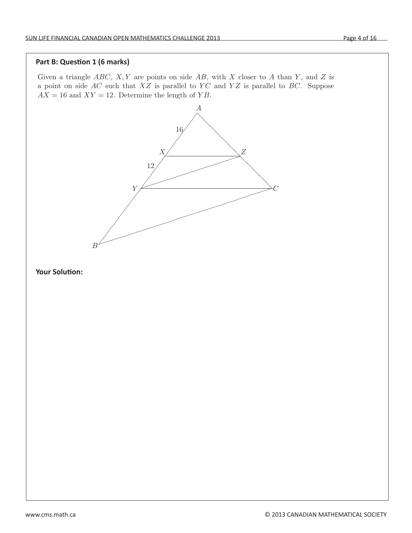#### **Part B: Question 1 (6 marks)**

Given a triangle  $ABC$ , X, Y are points on side AB, with X closer to A than Y, and Z is a point on side  $AC$  such that  $XZ$  is parallel to  $YC$  and  $YZ$  is parallel to  $BC$ . Suppose  $AX = 16$  and  $XY = 12$ . Determine the length of YB.



B3 Teams A and B are playing soccer until someone scores 29 goals. Throughout the game

B4 Let <sup>a</sup> be the largest real value of <sup>x</sup> for which <sup>x</sup><sup>3</sup> <sup>−</sup> <sup>8</sup>x<sup>2</sup> <sup>−</sup> <sup>2</sup><sup>x</sup> + 3 = 0. Determine the integer

#### **Your Solution:**  B2 There is a unique triplet of positive integers (a, b, c) such that a ≤ b ≤ c and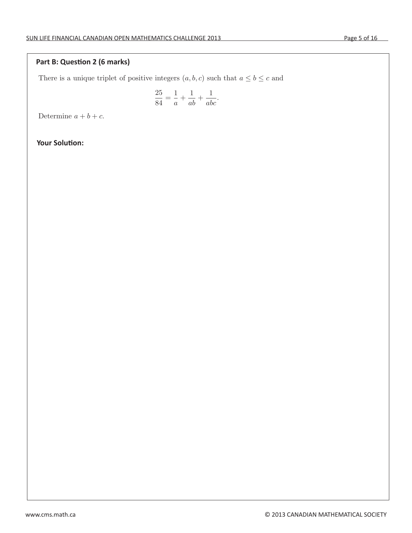$\overline{a}$ 

# Part B: Question 2 (6 marks)

There is a unique triplet of positive integers  $(a, b, c)$  such that  $a \leq b \leq c$  and

$$
\frac{25}{84} = \frac{1}{a} + \frac{1}{ab} + \frac{1}{abc}.
$$

B3 Teams A and B are playing soccer until someone scores 29 goals. Throughout the game

B4 Let <sup>a</sup> be the largest real value of <sup>x</sup> for which <sup>x</sup><sup>3</sup> <sup>−</sup> <sup>8</sup>x<sup>2</sup> <sup>−</sup> <sup>2</sup><sup>x</sup> + 3 = 0. Determine the integer

Determine  $a + b + c$ .

## **Francisco Solution:**  $\mathbf{Y}$  is shown on a board displaying two numbers  $\mathbf{Y}$  is shown on a board of goals scored by American scored by American scored by American scored by American scored by American scored by Ameri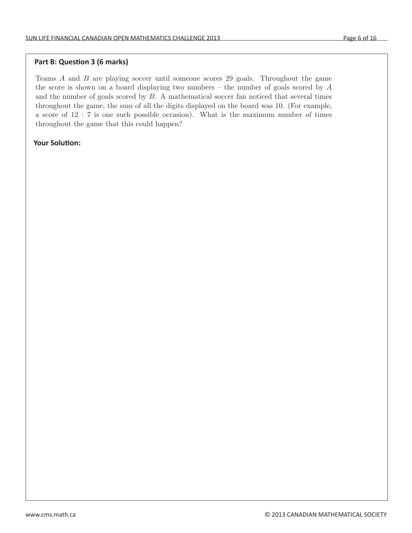## Part B: Question 3 (6 marks)

Teams  $A$  and  $B$  are playing soccer until someone scores 29 goals. Throughout the game the score is shown on a board displaying two numbers – the number of goals scored by  $A$ and the number of goals scored by B. A mathematical soccer fan noticed that several times throughout the game, the sum of all the digits displayed on the board was 10. (For example, a score of 12 : 7 is one such possible occasion). What is the maximum number of times throughout the game that this could happen?

<u>.</u><br>1940 - Johann Johann Johann Johann Johann Johann Johann Johann Johann Johann Johann Johann Johann Johann Johann <br>1940 - Johann Johann Johann Johann Johann Johann Johann Johann Johann Johann Johann Johann Johann Johann

a<br>abc

a

### **Your Solution:**  $\begin{array}{|c|c|c|c|c|c|}\hline \textbf{Your Solution:} \end{array}$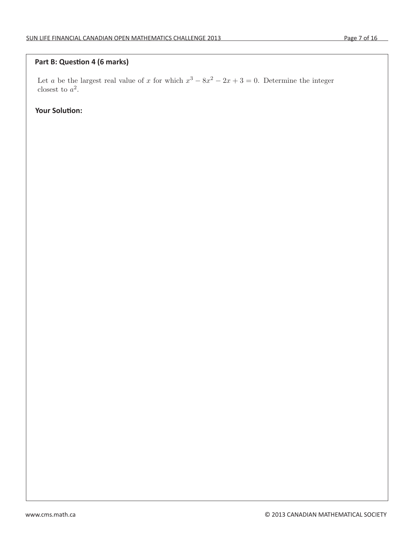#### **Part B: Question 4 (6 marks) and the matter of 12 is one such possible of the matter of times of times of times of times of times of times of times of times of times of times of times of times of times of times of times** art b. Question 4 (o marks)

Let a be the largest real value of x for which  $x^3 - 8x^2 - 2x + 3 = 0$ . Determine the integer closest to  $a^2$ .

**Your Solution:**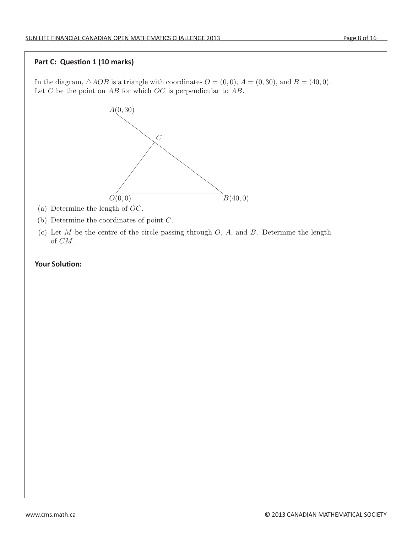## **Part C: Question 1 (10 marks)**

In the diagram,  $\triangle AOB$  is a triangle with coordinates  $O = (0, 0)$ ,  $A = (0, 30)$ , and  $B = (40, 0)$ . Let  $C$  be the point on  $AB$  for which  $OC$  is perpendicular to  $AB$ .



- (a) Determine the length of OC.
- (b) Determine the coordinates of point C.
- (c) Let  $M$  be the centre of the circle passing through  $O, A$ , and  $B$ . Determine the length of CM.

C3 Alphonse and Beryl play the following game. Two positive integers m and n are written on

 $\Gamma_{\rm eff}$  For each real number  $\alpha$  be the largest integer less than or equal to  $\alpha$ . For example,  $\alpha$ 

#### **Your Solution:**  C2 (a) Determine all real solutions to a<sup>2</sup> + 10 = a + 102.  $\sum_{i=1}^{n}$  Determine two positive real numbers a, b  $\sum_{i=1}^{n}$  and a2  $+$  a.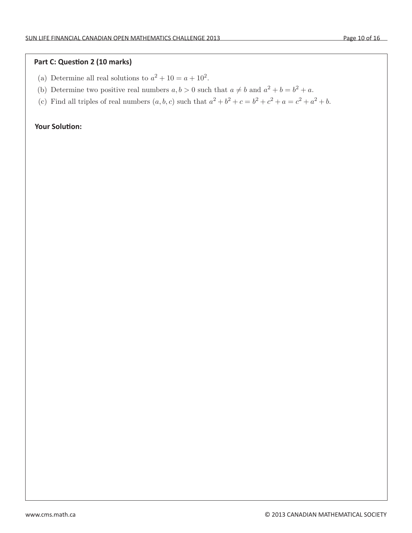## Part C: Question 2 (10 marks)

- (a) Determine all real solutions to  $a^2 + 10 = a + 10^2$ .
- (b) Determine two positive real numbers  $a, b > 0$  such that  $a \neq b$  and  $a^2 + b = b^2 + a$ .

C3 Alphonse and Beryl play the following game. Two positive integers m and n are written on

 $\Gamma$  For each real number  $\alpha$  integer less than or equal to  $\alpha$ . For example,  $\alpha$ 

(c) Find all triples of real numbers  $(a, b, c)$  such that  $a^2 + b^2 + c = b^2 + c^2 + a = c^2 + a^2 + b$ .

 $\mathcal{L}(\mathcal{L})$  Let  $\mathcal{L}(\mathcal{L})$  be the centre of the circle passing through O, A, and B. Determine the length O, A, and B. Determine the length O, A, and B. Determine the length O, A, and B. Determine the length O, A, a

#### **The board Solution:**  $\mathbf{A} = \mathbf{A} \mathbf{A}$  player selects one of the numbers of the numbers of the board, erases it, and the board, exaster  $\mathbf{A} = \mathbf{A} \mathbf{A}$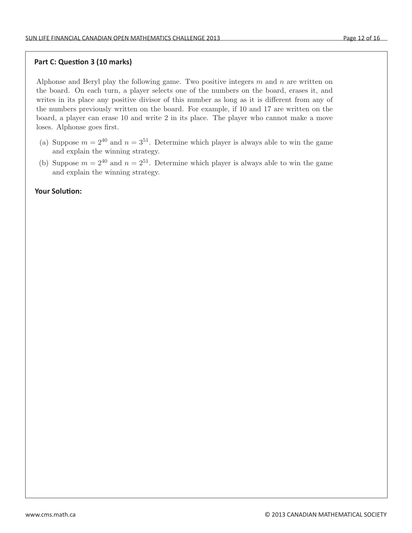## **Part C: Question 3 (10 marks)** (c) Find all triples of real numbers (a, b, c) such that a<sup>2</sup> + b<sup>2</sup> + c = b<sup>2</sup> + c<sup>2</sup> + a = c<sup>2</sup> + a<sup>2</sup> + b.  $(16.0 \text{ s.t. } 0.40 \text{ s.t.})$

Alphonse and Beryl play the following game. Two positive integers  $m$  and  $n$  are written on the board. On each turn, a player selects one of the numbers on the board, erases it, and writes in its place any positive divisor of this number as long as it is different from any of the numbers previously written on the board. For example, if 10 and 17 are written on the board, a player can erase 10 and write 2 in its place. The player who cannot make a move loses. Alphonse goes first.

- (a) Suppose  $m = 2^{40}$  and  $n = 3^{51}$ . Determine which player is always able to win the game and explain the winning strategy.
- (b) Suppose  $m = 2^{40}$  and  $n = 2^{51}$ . Determine which player is always able to win the game and explain the winning strategy.

#### **Your Solution:**   $\overline{\phantom{a}}$  Vour Colution:  $\frac{1}{2}$  =  $\frac{1}{2}$ . And  $\frac{1}{2}$ . An arithmetic progression of length k is a sequence of length k is a sequence of length k is a sequence of length k is a sequence of length k is a sequence of length k is a sequence o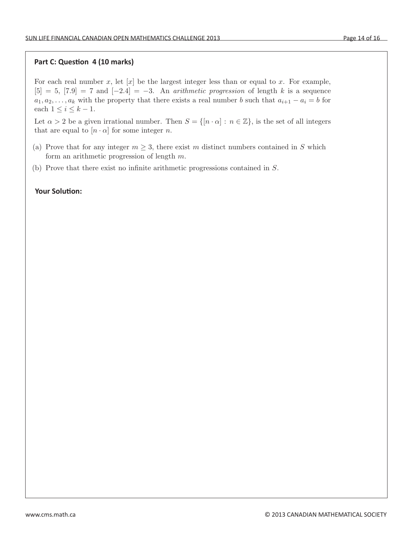### Part C: Question 4 (10 marks)  $\alpha$  question  $\alpha$  pointing strategy.

For each real number x, let  $[x]$  be the largest integer less than or equal to x. For example,  $[5] = 5$ ,  $[7.9] = 7$  and  $[-2.4] = -3$ . An *arithmetic progression* of length k is a sequence  $a_1, a_2, \ldots, a_k$  with the property that there exists a real number b such that  $a_{i+1} - a_i = b$  for each  $1 \leq i \leq k-1$ .

Let  $\alpha > 2$  be a given irrational number. Then  $S = \{ [n \cdot \alpha] : n \in \mathbb{Z} \}$ , is the set of all integers that are equal to  $[n \cdot \alpha]$  for some integer n.

- form an arithmetic progression of length  $m$ . (a) Prove that for any integer  $m \geq 3$ , there exist m distinct numbers contained in S which
- (b) Prove that there exist no infinite arithmetic progressions contained in S.

#### **Your Solution:**